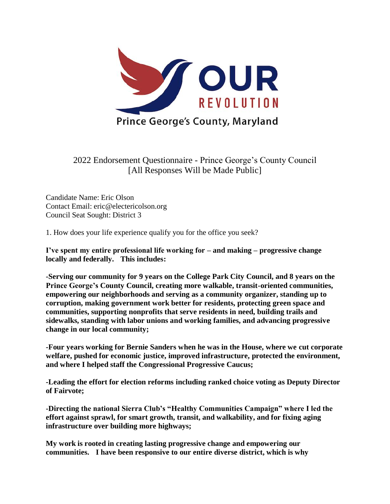

2022 Endorsement Questionnaire - Prince George's County Council [All Responses Will be Made Public]

Candidate Name: Eric Olson Contact Email: eric@electericolson.org Council Seat Sought: District 3

1. How does your life experience qualify you for the office you seek?

**I've spent my entire professional life working for – and making – progressive change locally and federally. This includes:**

**-Serving our community for 9 years on the College Park City Council, and 8 years on the Prince George's County Council, creating more walkable, transit-oriented communities, empowering our neighborhoods and serving as a community organizer, standing up to corruption, making government work better for residents, protecting green space and communities, supporting nonprofits that serve residents in need, building trails and sidewalks, standing with labor unions and working families, and advancing progressive change in our local community;**

**-Four years working for Bernie Sanders when he was in the House, where we cut corporate welfare, pushed for economic justice, improved infrastructure, protected the environment, and where I helped staff the Congressional Progressive Caucus;**

**-Leading the effort for election reforms including ranked choice voting as Deputy Director of Fairvote;**

**-Directing the national Sierra Club's "Healthy Communities Campaign" where I led the effort against sprawl, for smart growth, transit, and walkability, and for fixing aging infrastructure over building more highways;**

**My work is rooted in creating lasting progressive change and empowering our communities. I have been responsive to our entire diverse district, which is why**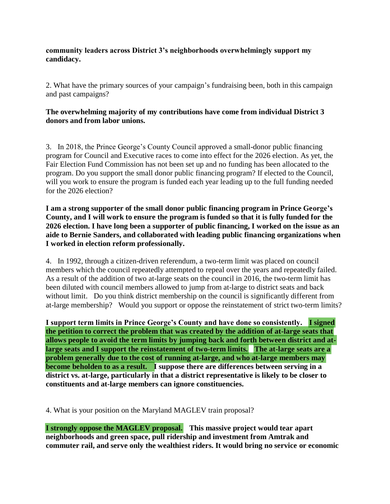### **community leaders across District 3's neighborhoods overwhelmingly support my candidacy.**

2. What have the primary sources of your campaign's fundraising been, both in this campaign and past campaigns?

## **The overwhelming majority of my contributions have come from individual District 3 donors and from labor unions.**

3. In 2018, the Prince George's County Council approved a small-donor public financing program for Council and Executive races to come into effect for the 2026 election. As yet, the Fair Election Fund Commission has not been set up and no funding has been allocated to the program. Do you support the small donor public financing program? If elected to the Council, will you work to ensure the program is funded each year leading up to the full funding needed for the 2026 election?

**I am a strong supporter of the small donor public financing program in Prince George's County, and I will work to ensure the program is funded so that it is fully funded for the 2026 election. I have long been a supporter of public financing, I worked on the issue as an aide to Bernie Sanders, and collaborated with leading public financing organizations when I worked in election reform professionally.**

4. In 1992, through a citizen-driven referendum, a two-term limit was placed on council members which the council repeatedly attempted to repeal over the years and repeatedly failed. As a result of the addition of two at-large seats on the council in 2016, the two-term limit has been diluted with council members allowed to jump from at-large to district seats and back without limit. Do you think district membership on the council is significantly different from at-large membership? Would you support or oppose the reinstatement of strict two-term limits?

**I support term limits in Prince George's County and have done so consistently. I signed the petition to correct the problem that was created by the addition of at-large seats that allows people to avoid the term limits by jumping back and forth between district and atlarge seats and I support the reinstatement of two-term limits. The at-large seats are a problem generally due to the cost of running at-large, and who at-large members may become beholden to as a result. I suppose there are differences between serving in a district vs. at-large, particularly in that a district representative is likely to be closer to constituents and at-large members can ignore constituencies.**

4. What is your position on the Maryland MAGLEV train proposal?

**I strongly oppose the MAGLEV proposal. This massive project would tear apart neighborhoods and green space, pull ridership and investment from Amtrak and commuter rail, and serve only the wealthiest riders. It would bring no service or economic**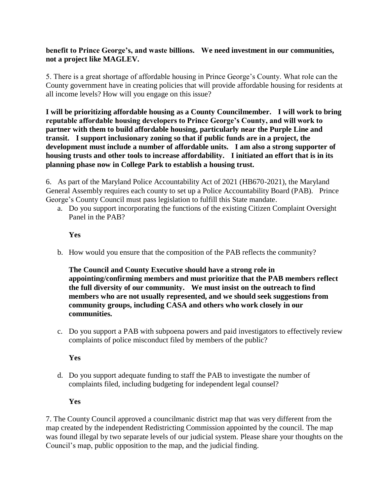### **benefit to Prince George's, and waste billions. We need investment in our communities, not a project like MAGLEV.**

5. There is a great shortage of affordable housing in Prince George's County. What role can the County government have in creating policies that will provide affordable housing for residents at all income levels? How will you engage on this issue?

**I will be prioritizing affordable housing as a County Councilmember. I will work to bring reputable affordable housing developers to Prince George's County, and will work to partner with them to build affordable housing, particularly near the Purple Line and transit. I support inclusionary zoning so that if public funds are in a project, the development must include a number of affordable units. I am also a strong supporter of housing trusts and other tools to increase affordability. I initiated an effort that is in its planning phase now in College Park to establish a housing trust.**

6. As part of the Maryland Police Accountability Act of 2021 (HB670-2021), the Maryland General Assembly requires each county to set up a Police Accountability Board (PAB). Prince George's County Council must pass legislation to fulfill this State mandate.

a. Do you support incorporating the functions of the existing Citizen Complaint Oversight Panel in the PAB?

# **Yes**

b. How would you ensure that the composition of the PAB reflects the community?

**The Council and County Executive should have a strong role in appointing/confirming members and must prioritize that the PAB members reflect the full diversity of our community. We must insist on the outreach to find members who are not usually represented, and we should seek suggestions from community groups, including CASA and others who work closely in our communities.**

c. Do you support a PAB with subpoena powers and paid investigators to effectively review complaints of police misconduct filed by members of the public?

## **Yes**

d. Do you support adequate funding to staff the PAB to investigate the number of complaints filed, including budgeting for independent legal counsel?

#### **Yes**

7. The County Council approved a councilmanic district map that was very different from the map created by the independent Redistricting Commission appointed by the council. The map was found illegal by two separate levels of our judicial system. Please share your thoughts on the Council's map, public opposition to the map, and the judicial finding.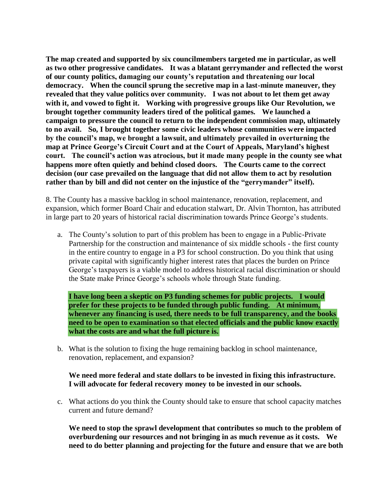**The map created and supported by six councilmembers targeted me in particular, as well as two other progressive candidates. It was a blatant gerrymander and reflected the worst of our county politics, damaging our county's reputation and threatening our local democracy. When the council sprung the secretive map in a last-minute maneuver, they revealed that they value politics over community. I was not about to let them get away with it, and vowed to fight it. Working with progressive groups like Our Revolution, we brought together community leaders tired of the political games. We launched a campaign to pressure the council to return to the independent commission map, ultimately to no avail. So, I brought together some civic leaders whose communities were impacted by the council's map, we brought a lawsuit, and ultimately prevailed in overturning the map at Prince George's Circuit Court and at the Court of Appeals, Maryland's highest court. The council's action was atrocious, but it made many people in the county see what happens more often quietly and behind closed doors. The Courts came to the correct decision (our case prevailed on the language that did not allow them to act by resolution rather than by bill and did not center on the injustice of the "gerrymander" itself).** 

8. The County has a massive backlog in school maintenance, renovation, replacement, and expansion, which former Board Chair and education stalwart, Dr. Alvin Thornton, has attributed in large part to 20 years of historical racial discrimination towards Prince George's students.

a. The County's solution to part of this problem has been to engage in a Public-Private Partnership for the construction and maintenance of six middle schools - the first county in the entire country to engage in a P3 for school construction. Do you think that using private capital with significantly higher interest rates that places the burden on Prince George's taxpayers is a viable model to address historical racial discrimination or should the State make Prince George's schools whole through State funding.

**I have long been a skeptic on P3 funding schemes for public projects. I would prefer for these projects to be funded through public funding.** At minimum, **whenever any financing is used, there needs to be full transparency, and the books need to be open to examination so that elected officials and the public know exactly what the costs are and what the full picture is.**

b. What is the solution to fixing the huge remaining backlog in school maintenance, renovation, replacement, and expansion?

#### **We need more federal and state dollars to be invested in fixing this infrastructure. I will advocate for federal recovery money to be invested in our schools.**

c. What actions do you think the County should take to ensure that school capacity matches current and future demand?

**We need to stop the sprawl development that contributes so much to the problem of overburdening our resources and not bringing in as much revenue as it costs. We need to do better planning and projecting for the future and ensure that we are both**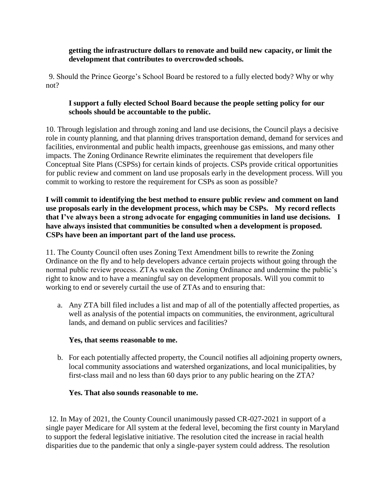### **getting the infrastructure dollars to renovate and build new capacity, or limit the development that contributes to overcrowded schools.**

9. Should the Prince George's School Board be restored to a fully elected body? Why or why not?

# **I support a fully elected School Board because the people setting policy for our schools should be accountable to the public.**

10. Through legislation and through zoning and land use decisions, the Council plays a decisive role in county planning, and that planning drives transportation demand, demand for services and facilities, environmental and public health impacts, greenhouse gas emissions, and many other impacts. The Zoning Ordinance Rewrite eliminates the requirement that developers file Conceptual Site Plans (CSPSs) for certain kinds of projects. CSPs provide critical opportunities for public review and comment on land use proposals early in the development process. Will you commit to working to restore the requirement for CSPs as soon as possible?

**I will commit to identifying the best method to ensure public review and comment on land use proposals early in the development process, which may be CSPs. My record reflects that I've always been a strong advocate for engaging communities in land use decisions. I have always insisted that communities be consulted when a development is proposed. CSPs have been an important part of the land use process.** 

11. The County Council often uses Zoning Text Amendment bills to rewrite the Zoning Ordinance on the fly and to help developers advance certain projects without going through the normal public review process. ZTAs weaken the Zoning Ordinance and undermine the public's right to know and to have a meaningful say on development proposals. Will you commit to working to end or severely curtail the use of ZTAs and to ensuring that:

a. Any ZTA bill filed includes a list and map of all of the potentially affected properties, as well as analysis of the potential impacts on communities, the environment, agricultural lands, and demand on public services and facilities?

## **Yes, that seems reasonable to me.**

b. For each potentially affected property, the Council notifies all adjoining property owners, local community associations and watershed organizations, and local municipalities, by first-class mail and no less than 60 days prior to any public hearing on the ZTA?

#### **Yes. That also sounds reasonable to me.**

12. In May of 2021, the County Council unanimously passed CR-027-2021 in support of a single payer Medicare for All system at the federal level, becoming the first county in Maryland to support the federal legislative initiative. The resolution cited the increase in racial health disparities due to the pandemic that only a single-payer system could address. The resolution